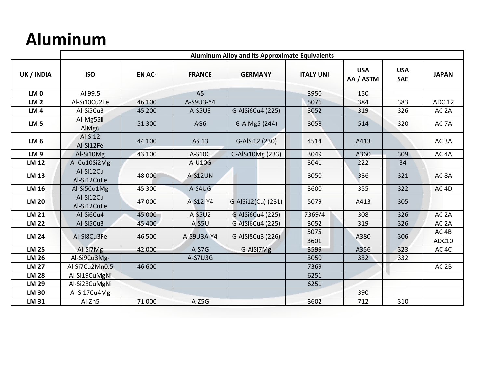## **Aluminum**

|                 | <b>Aluminum Alloy and its Approximate Equivalents</b> |               |                |                                    |        |                         |                          |                           |  |  |
|-----------------|-------------------------------------------------------|---------------|----------------|------------------------------------|--------|-------------------------|--------------------------|---------------------------|--|--|
| UK / INDIA      | <b>ISO</b>                                            | <b>EN AC-</b> | <b>FRANCE</b>  | <b>GERMANY</b><br><b>ITALY UNI</b> |        | <b>USA</b><br>AA / ASTM | <b>USA</b><br><b>SAE</b> | <b>JAPAN</b>              |  |  |
| LM <sub>0</sub> | Al 99.5                                               |               | A <sub>5</sub> |                                    | 3950   | 150                     |                          |                           |  |  |
| LM <sub>2</sub> | Al-Si10Cu2Fe                                          | 46 100        | A-S9U3-Y4      | 5076                               |        | 384                     | 383                      | <b>ADC 12</b>             |  |  |
| LM <sub>4</sub> | Al-Si5Cu3                                             | 45 200        | A-S5U3         | G-AlSi6Cu4 (225)                   | 3052   | 319                     | 326                      | AC <sub>2</sub> A         |  |  |
| LM <sub>5</sub> | Al-Mg5Sil<br>AlMg6                                    | 51 300        | AG6            | 3058<br>G-AlMg5 (244)              |        | 514                     | 320                      | AC <sub>7</sub> A         |  |  |
| LM <sub>6</sub> | Al-Si12<br>Al-Si12Fe                                  | 44 100        | AS 13          | G-AlSi12 (230)<br>4514             |        | A413                    |                          | AC <sub>3</sub> A         |  |  |
| <b>LM9</b>      | Al-Si10Mg                                             | 43 100        | A-S10G         | G-AlSi10Mg (233)                   | 3049   | A360                    | 309                      | AC <sub>4</sub> A         |  |  |
| <b>LM 12</b>    | Al-Cu10Si2Mg                                          |               | A-U10G         |                                    | 3041   | 222                     | 34                       |                           |  |  |
| <b>LM 13</b>    | Al-Si12Cu<br>Al-Si12CuFe                              | 48 000        | <b>A-S12UN</b> |                                    | 3050   | 336                     | 321                      | AC <sub>8</sub> A         |  |  |
| <b>LM 16</b>    | Al-Si5Cu1Mg                                           | 45 300        | A-S4UG         |                                    | 3600   | 355                     | 322                      | AC <sub>4D</sub>          |  |  |
| <b>LM 20</b>    | Al-Si12Cu<br>Al-Si12CuFe                              | 47 000        | A-S12-Y4       | G-AlSi12(Cu) (231)                 | 5079   | A413                    | 305                      |                           |  |  |
| <b>LM 21</b>    | Al-Si6Cu4                                             | 45 000        | A-S5U2         | G-AlSi6Cu4 (225)                   | 7369/4 | 308                     | 326                      | AC <sub>2</sub> A         |  |  |
| <b>LM 22</b>    | Al-Si5Cu3                                             | 45 400        | $A-S5U$        | G-AlSi6Cu4 (225)                   | 3052   | 319                     | 326                      | AC <sub>2</sub> A         |  |  |
| <b>LM 24</b>    | Al-Si8Cu3Fe                                           | 46 500        | A-S9U3A-Y4     | 5075<br>G-AlSi8Cu3 (226)<br>3601   |        | A380                    | 306                      | AC <sub>4B</sub><br>ADC10 |  |  |
| <b>LM 25</b>    | Al-Si7Mg                                              | 42 000        | $A-S7G$        | G-AlSi7Mg                          | 3599   | A356                    | 323                      | AC <sub>4</sub> C         |  |  |
| <b>LM 26</b>    | Al-Si9Cu3Mg-                                          |               | A-S7U3G        |                                    | 3050   | 332                     | 332                      |                           |  |  |
| <b>LM 27</b>    | Al-Si7Cu2Mn0.5                                        | 46 600        |                |                                    | 7369   |                         |                          | AC <sub>2B</sub>          |  |  |
| <b>LM 28</b>    | Al-Si19CuMgNi                                         |               |                |                                    | 6251   |                         |                          |                           |  |  |
| <b>LM 29</b>    | Al-Si23CuMgNi                                         |               |                |                                    | 6251   |                         |                          |                           |  |  |
| <b>LM 30</b>    | Al-Si17Cu4Mg                                          |               |                |                                    |        | 390                     |                          |                           |  |  |
| <b>LM 31</b>    | Al-Zn5                                                | 71 000        | $A-Z5G$        |                                    | 3602   | 712                     | 310                      |                           |  |  |